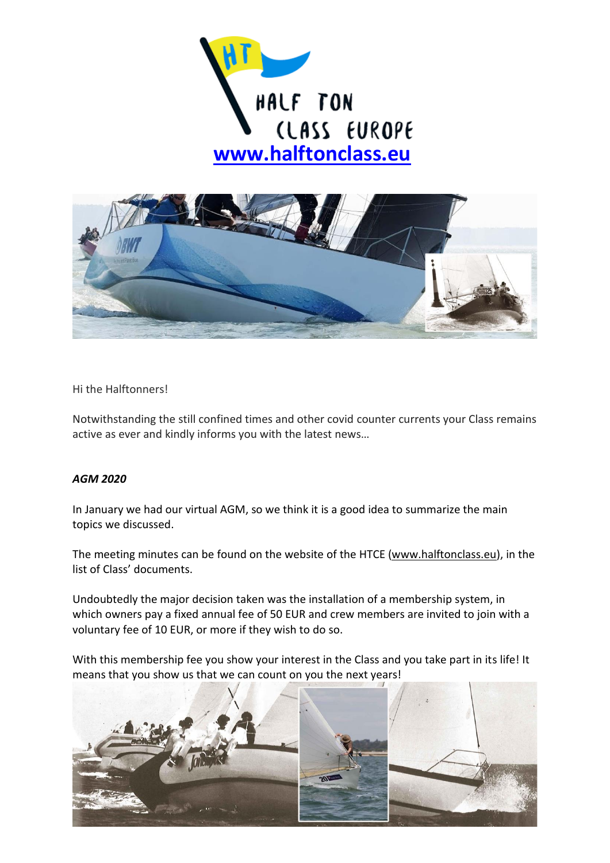



Hi the Halftonners!

Notwithstanding the still confined times and other covid counter currents your Class remains active as ever and kindly informs you with the latest news…

## *AGM 2020*

In January we had our virtual AGM, so we think it is a good idea to summarize the main topics we discussed.

The meeting minutes can be found on the website of the HTCE [\(www.halftonclass.eu\)](http://www.halftonclass.eu/), in the list of Class' documents.

Undoubtedly the major decision taken was the installation of a membership system, in which owners pay a fixed annual fee of 50 EUR and crew members are invited to join with a voluntary fee of 10 EUR, or more if they wish to do so.

With this membership fee you show your interest in the Class and you take part in its life! It means that you show us that we can count on you the next years!

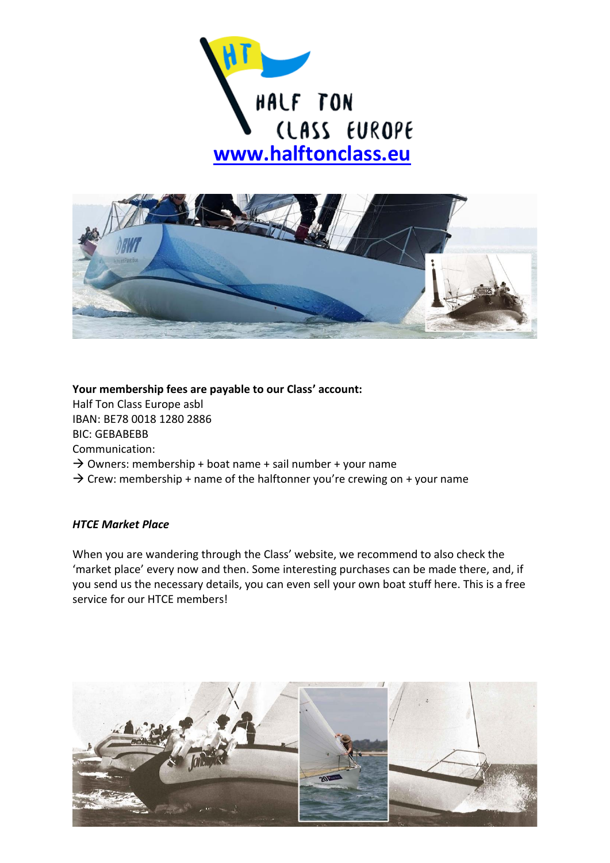



**Your membership fees are payable to our Class' account:** Half Ton Class Europe asbl IBAN: BE78 0018 1280 2886 BIC: GEBABEBB Communication:  $\rightarrow$  Owners: membership + boat name + sail number + your name  $\rightarrow$  Crew: membership + name of the halftonner you're crewing on + your name

## *HTCE Market Place*

When you are wandering through the Class' website, we recommend to also check the 'market place' every now and then. Some interesting purchases can be made there, and, if you send us the necessary details, you can even sell your own boat stuff here. This is a free service for our HTCE members!

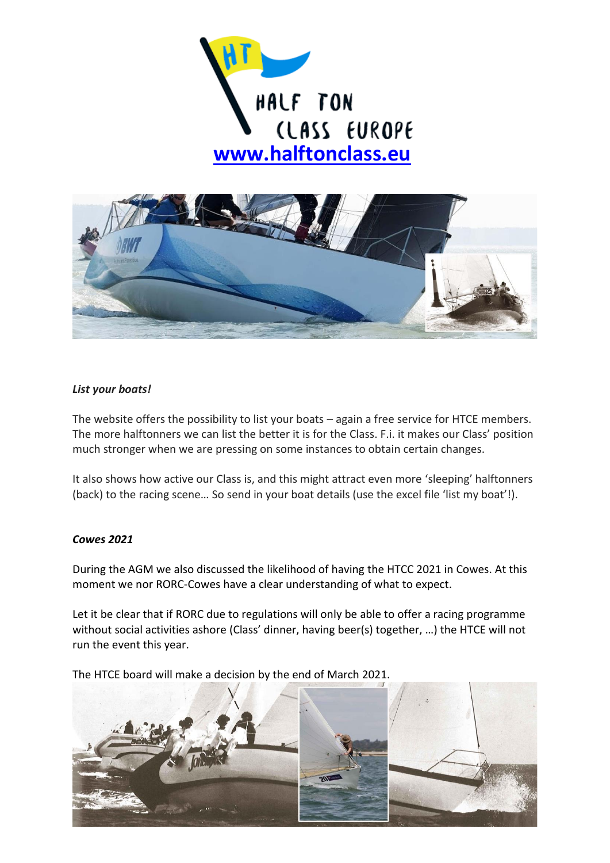



## *List your boats!*

The website offers the possibility to list your boats – again a free service for HTCE members. The more halftonners we can list the better it is for the Class. F.i. it makes our Class' position much stronger when we are pressing on some instances to obtain certain changes.

It also shows how active our Class is, and this might attract even more 'sleeping' halftonners (back) to the racing scene... So send in your boat details (use the excel file 'list my boat'!).

## *Cowes 2021*

During the AGM we also discussed the likelihood of having the HTCC 2021 in Cowes. At this moment we nor RORC-Cowes have a clear understanding of what to expect.

Let it be clear that if RORC due to regulations will only be able to offer a racing programme without social activities ashore (Class' dinner, having beer(s) together, …) the HTCE will not run the event this year.

The HTCE board will make a decision by the end of March 2021.